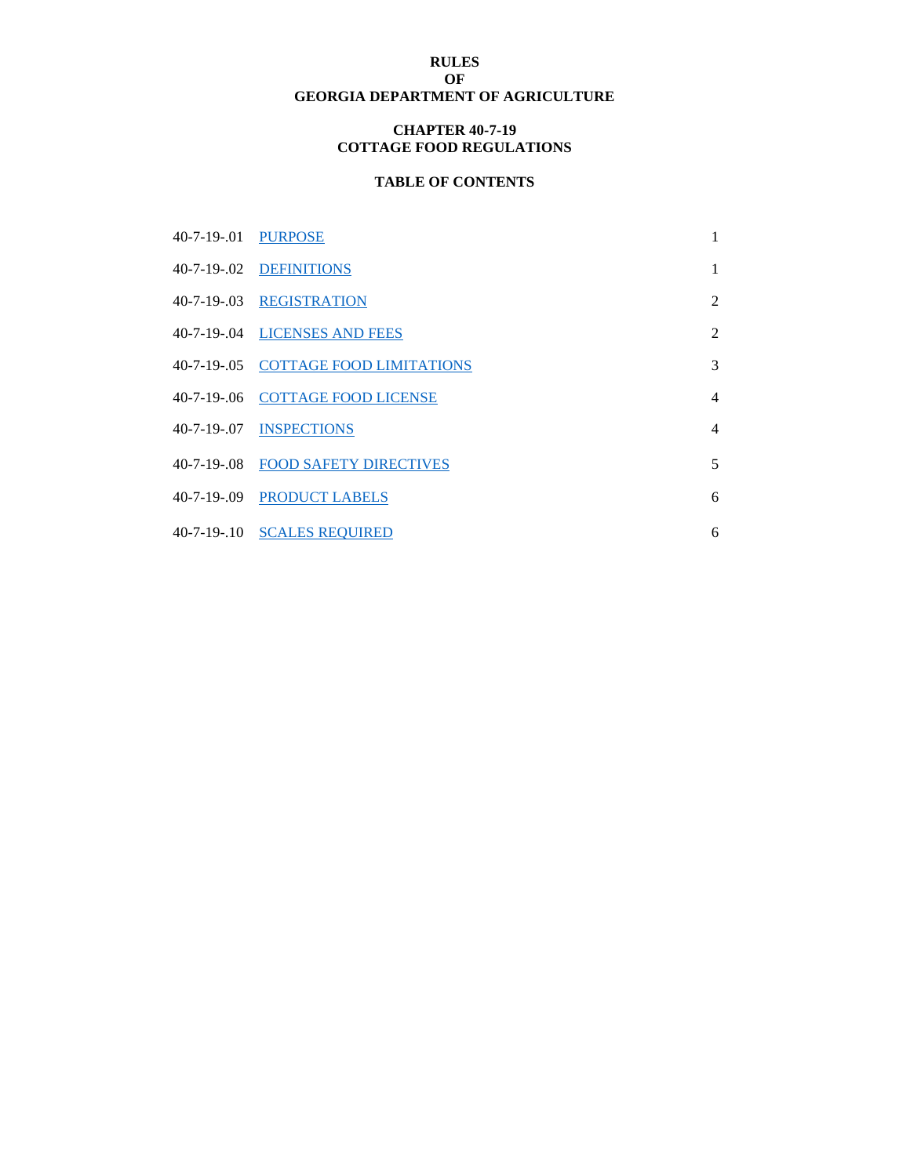## **RULES OF GEORGIA DEPARTMENT OF AGRICULTURE**

#### **CHAPTER 40-7-19 COTTAGE FOOD REGULATIONS**

# **TABLE OF CONTENTS**

| 40-7-19-.01 PURPOSE |                                      | 1              |
|---------------------|--------------------------------------|----------------|
|                     | 40-7-19-.02 DEFINITIONS              | $\mathbf{1}$   |
|                     | 40-7-19-.03 REGISTRATION             | $\overline{2}$ |
|                     | 40-7-19-.04 LICENSES AND FEES        | $\overline{2}$ |
|                     | 40-7-19-.05 COTTAGE FOOD LIMITATIONS | 3              |
|                     | 40-7-19-.06 COTTAGE FOOD LICENSE     | $\overline{4}$ |
| 40-7-19-07          | <b>INSPECTIONS</b>                   | $\overline{4}$ |
|                     | 40-7-19-.08 FOOD SAFETY DIRECTIVES   | 5              |
|                     | 40-7-19-.09 PRODUCT LABELS           | 6              |
|                     | 40-7-19-.10 SCALES REQUIRED          | 6              |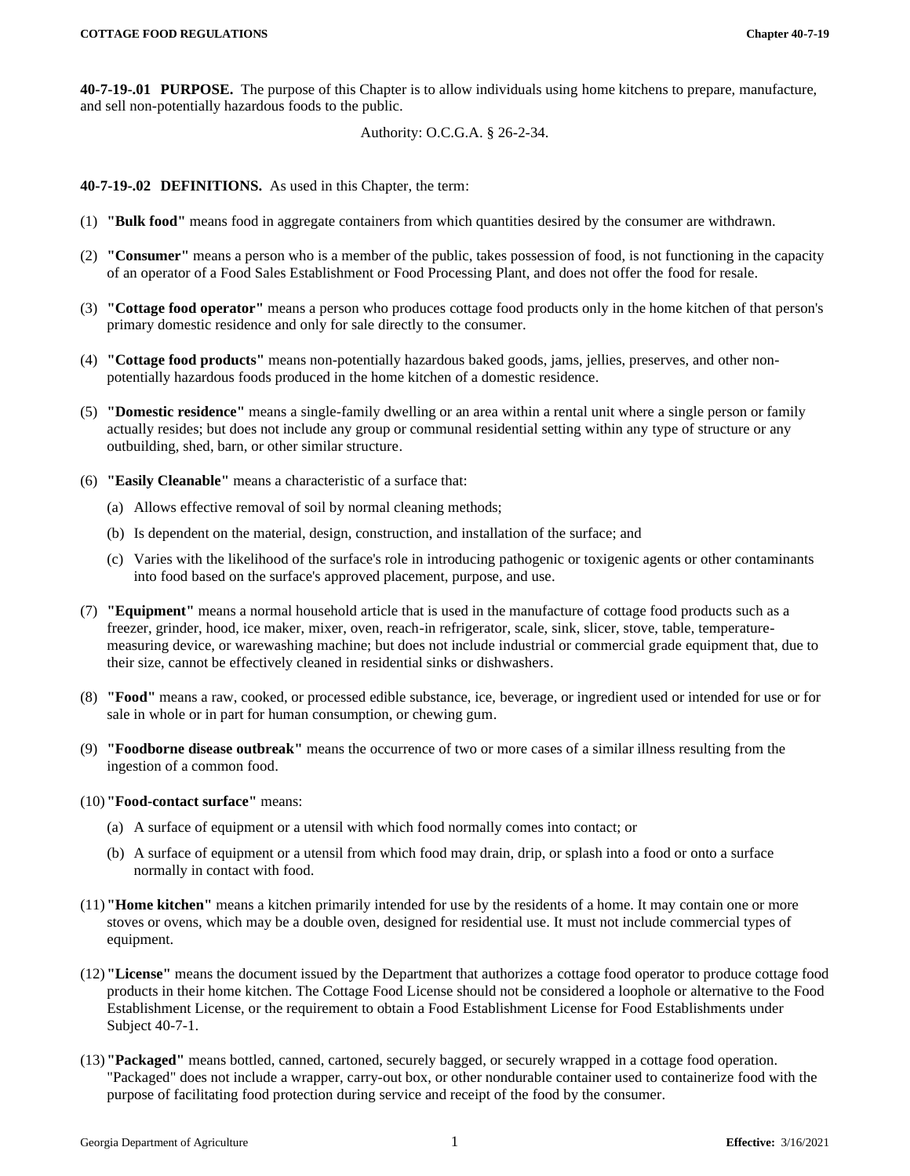<span id="page-1-0"></span>**40-7-19-.01 PURPOSE.** The purpose of this Chapter is to allow individuals using home kitchens to prepare, manufacture, and sell non-potentially hazardous foods to the public.

Authority: O.C.G.A. § 26-2-34.

<span id="page-1-1"></span>**40-7-19-.02 DEFINITIONS.** As used in this Chapter, the term:

- (1) **"Bulk food"** means food in aggregate containers from which quantities desired by the consumer are withdrawn.
- (2) **"Consumer"** means a person who is a member of the public, takes possession of food, is not functioning in the capacity of an operator of a Food Sales Establishment or Food Processing Plant, and does not offer the food for resale.
- (3) **"Cottage food operator"** means a person who produces cottage food products only in the home kitchen of that person's primary domestic residence and only for sale directly to the consumer.
- (4) **"Cottage food products"** means non-potentially hazardous baked goods, jams, jellies, preserves, and other nonpotentially hazardous foods produced in the home kitchen of a domestic residence.
- (5) **"Domestic residence"** means a single-family dwelling or an area within a rental unit where a single person or family actually resides; but does not include any group or communal residential setting within any type of structure or any outbuilding, shed, barn, or other similar structure.
- (6) **"Easily Cleanable"** means a characteristic of a surface that:
	- (a) Allows effective removal of soil by normal cleaning methods;
	- (b) Is dependent on the material, design, construction, and installation of the surface; and
	- (c) Varies with the likelihood of the surface's role in introducing pathogenic or toxigenic agents or other contaminants into food based on the surface's approved placement, purpose, and use.
- (7) **"Equipment"** means a normal household article that is used in the manufacture of cottage food products such as a freezer, grinder, hood, ice maker, mixer, oven, reach-in refrigerator, scale, sink, slicer, stove, table, temperaturemeasuring device, or warewashing machine; but does not include industrial or commercial grade equipment that, due to their size, cannot be effectively cleaned in residential sinks or dishwashers.
- (8) **"Food"** means a raw, cooked, or processed edible substance, ice, beverage, or ingredient used or intended for use or for sale in whole or in part for human consumption, or chewing gum.
- (9) **"Foodborne disease outbreak"** means the occurrence of two or more cases of a similar illness resulting from the ingestion of a common food.
- (10)**"Food-contact surface"** means:
	- (a) A surface of equipment or a utensil with which food normally comes into contact; or
	- (b) A surface of equipment or a utensil from which food may drain, drip, or splash into a food or onto a surface normally in contact with food.
- (11)**"Home kitchen"** means a kitchen primarily intended for use by the residents of a home. It may contain one or more stoves or ovens, which may be a double oven, designed for residential use. It must not include commercial types of equipment.
- (12)**"License"** means the document issued by the Department that authorizes a cottage food operator to produce cottage food products in their home kitchen. The Cottage Food License should not be considered a loophole or alternative to the Food Establishment License, or the requirement to obtain a Food Establishment License for Food Establishments under Subject 40-7-1.
- (13)**"Packaged"** means bottled, canned, cartoned, securely bagged, or securely wrapped in a cottage food operation. "Packaged" does not include a wrapper, carry-out box, or other nondurable container used to containerize food with the purpose of facilitating food protection during service and receipt of the food by the consumer.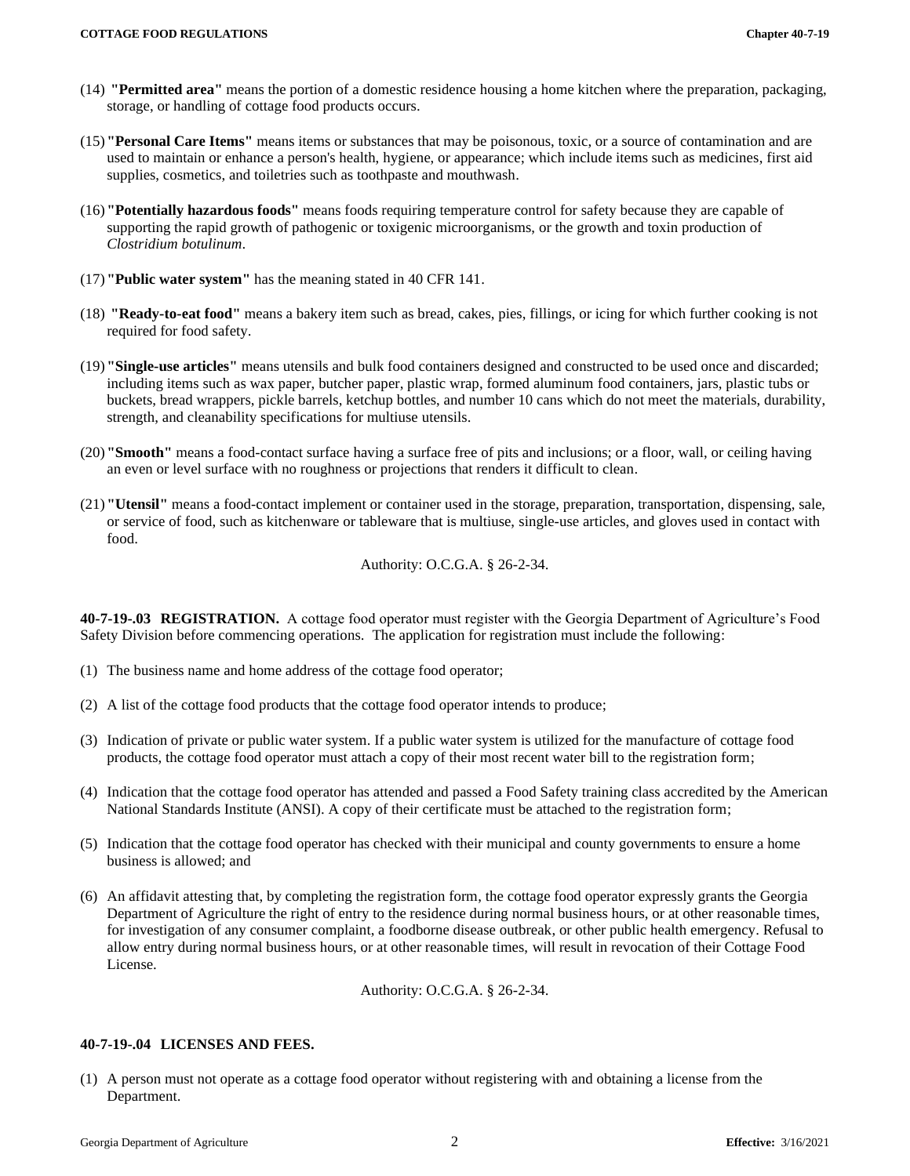- (14) **"Permitted area"** means the portion of a domestic residence housing a home kitchen where the preparation, packaging, storage, or handling of cottage food products occurs.
- (15)**"Personal Care Items"** means items or substances that may be poisonous, toxic, or a source of contamination and are used to maintain or enhance a person's health, hygiene, or appearance; which include items such as medicines, first aid supplies, cosmetics, and toiletries such as toothpaste and mouthwash.
- (16)**"Potentially hazardous foods"** means foods requiring temperature control for safety because they are capable of supporting the rapid growth of pathogenic or toxigenic microorganisms, or the growth and toxin production of *Clostridium botulinum*.
- (17)**"Public water system"** has the meaning stated in 40 CFR 141.
- (18) **"Ready-to-eat food"** means a bakery item such as bread, cakes, pies, fillings, or icing for which further cooking is not required for food safety.
- (19)**"Single-use articles"** means utensils and bulk food containers designed and constructed to be used once and discarded; including items such as wax paper, butcher paper, plastic wrap, formed aluminum food containers, jars, plastic tubs or buckets, bread wrappers, pickle barrels, ketchup bottles, and number 10 cans which do not meet the materials, durability, strength, and cleanability specifications for multiuse utensils.
- (20)**"Smooth"** means a food-contact surface having a surface free of pits and inclusions; or a floor, wall, or ceiling having an even or level surface with no roughness or projections that renders it difficult to clean.
- <span id="page-2-0"></span>(21)**"Utensil"** means a food-contact implement or container used in the storage, preparation, transportation, dispensing, sale, or service of food, such as kitchenware or tableware that is multiuse, single-use articles, and gloves used in contact with food.

Authority: O.C.G.A. § 26-2-34.

**40-7-19-.03 REGISTRATION.** A cottage food operator must register with the Georgia Department of Agriculture's Food Safety Division before commencing operations. The application for registration must include the following:

- (1) The business name and home address of the cottage food operator;
- (2) A list of the cottage food products that the cottage food operator intends to produce;
- (3) Indication of private or public water system. If a public water system is utilized for the manufacture of cottage food products, the cottage food operator must attach a copy of their most recent water bill to the registration form;
- (4) Indication that the cottage food operator has attended and passed a Food Safety training class accredited by the American National Standards Institute (ANSI). A copy of their certificate must be attached to the registration form;
- (5) Indication that the cottage food operator has checked with their municipal and county governments to ensure a home business is allowed; and
- (6) An affidavit attesting that, by completing the registration form, the cottage food operator expressly grants the Georgia Department of Agriculture the right of entry to the residence during normal business hours, or at other reasonable times, for investigation of any consumer complaint, a foodborne disease outbreak, or other public health emergency. Refusal to allow entry during normal business hours, or at other reasonable times, will result in revocation of their Cottage Food License.

Authority: O.C.G.A. § 26-2-34.

### <span id="page-2-1"></span>**40-7-19-.04 LICENSES AND FEES.**

(1) A person must not operate as a cottage food operator without registering with and obtaining a license from the Department.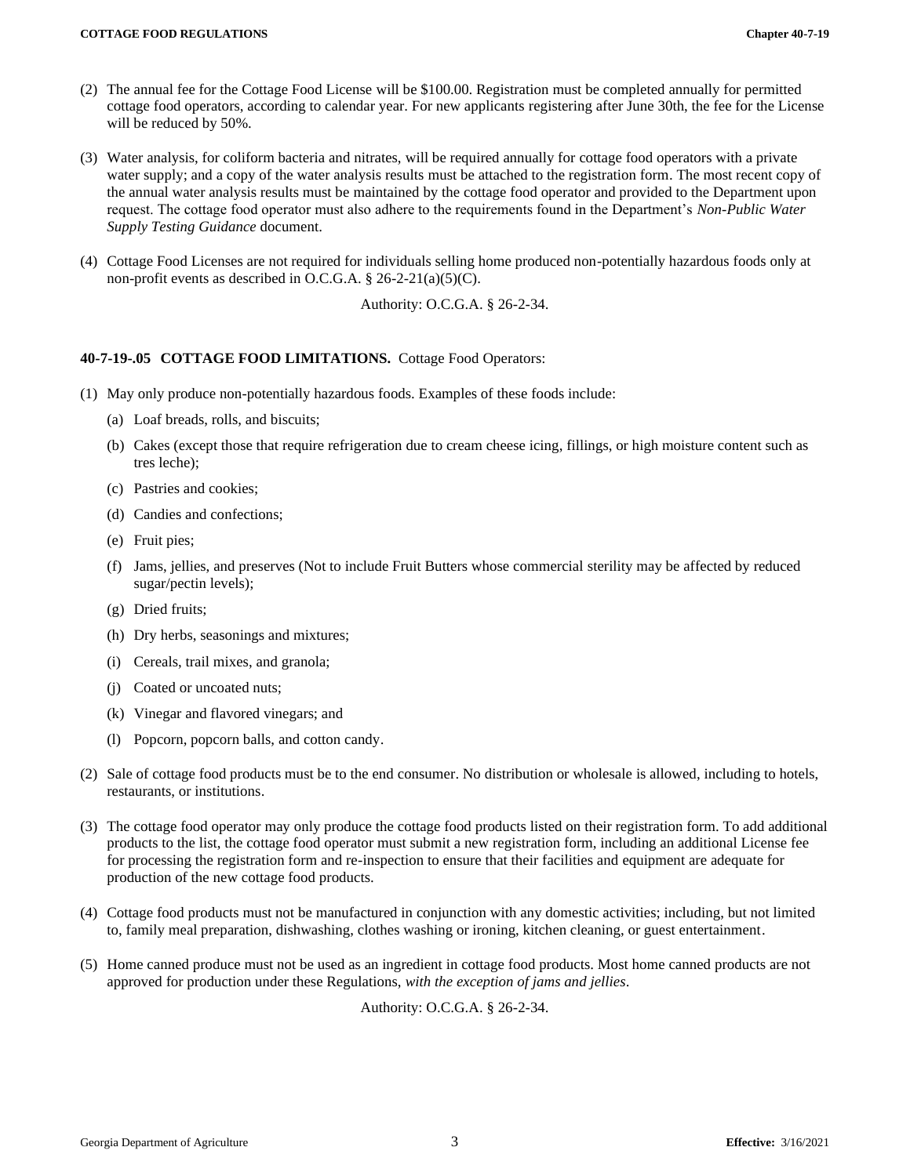- (2) The annual fee for the Cottage Food License will be \$100.00. Registration must be completed annually for permitted cottage food operators, according to calendar year. For new applicants registering after June 30th, the fee for the License will be reduced by 50%.
- (3) Water analysis, for coliform bacteria and nitrates, will be required annually for cottage food operators with a private water supply; and a copy of the water analysis results must be attached to the registration form. The most recent copy of the annual water analysis results must be maintained by the cottage food operator and provided to the Department upon request. The cottage food operator must also adhere to the requirements found in the Department's *Non-Public Water Supply Testing Guidance* document.
- (4) Cottage Food Licenses are not required for individuals selling home produced non-potentially hazardous foods only at non-profit events as described in O.C.G.A. § 26-2-21(a)(5)(C).

Authority: O.C.G.A. § 26-2-34.

### <span id="page-3-0"></span>**40-7-19-.05 COTTAGE FOOD LIMITATIONS.** Cottage Food Operators:

- (1) May only produce non-potentially hazardous foods. Examples of these foods include:
	- (a) Loaf breads, rolls, and biscuits;
	- (b) Cakes (except those that require refrigeration due to cream cheese icing, fillings, or high moisture content such as tres leche);
	- (c) Pastries and cookies;
	- (d) Candies and confections;
	- (e) Fruit pies;
	- (f) Jams, jellies, and preserves (Not to include Fruit Butters whose commercial sterility may be affected by reduced sugar/pectin levels);
	- (g) Dried fruits;
	- (h) Dry herbs, seasonings and mixtures;
	- (i) Cereals, trail mixes, and granola;
	- (j) Coated or uncoated nuts;
	- (k) Vinegar and flavored vinegars; and
	- (l) Popcorn, popcorn balls, and cotton candy.
- (2) Sale of cottage food products must be to the end consumer. No distribution or wholesale is allowed, including to hotels, restaurants, or institutions.
- (3) The cottage food operator may only produce the cottage food products listed on their registration form. To add additional products to the list, the cottage food operator must submit a new registration form, including an additional License fee for processing the registration form and re-inspection to ensure that their facilities and equipment are adequate for production of the new cottage food products.
- (4) Cottage food products must not be manufactured in conjunction with any domestic activities; including, but not limited to, family meal preparation, dishwashing, clothes washing or ironing, kitchen cleaning, or guest entertainment.
- (5) Home canned produce must not be used as an ingredient in cottage food products. Most home canned products are not approved for production under these Regulations, *with the exception of jams and jellies*.

Authority: O.C.G.A. § 26-2-34.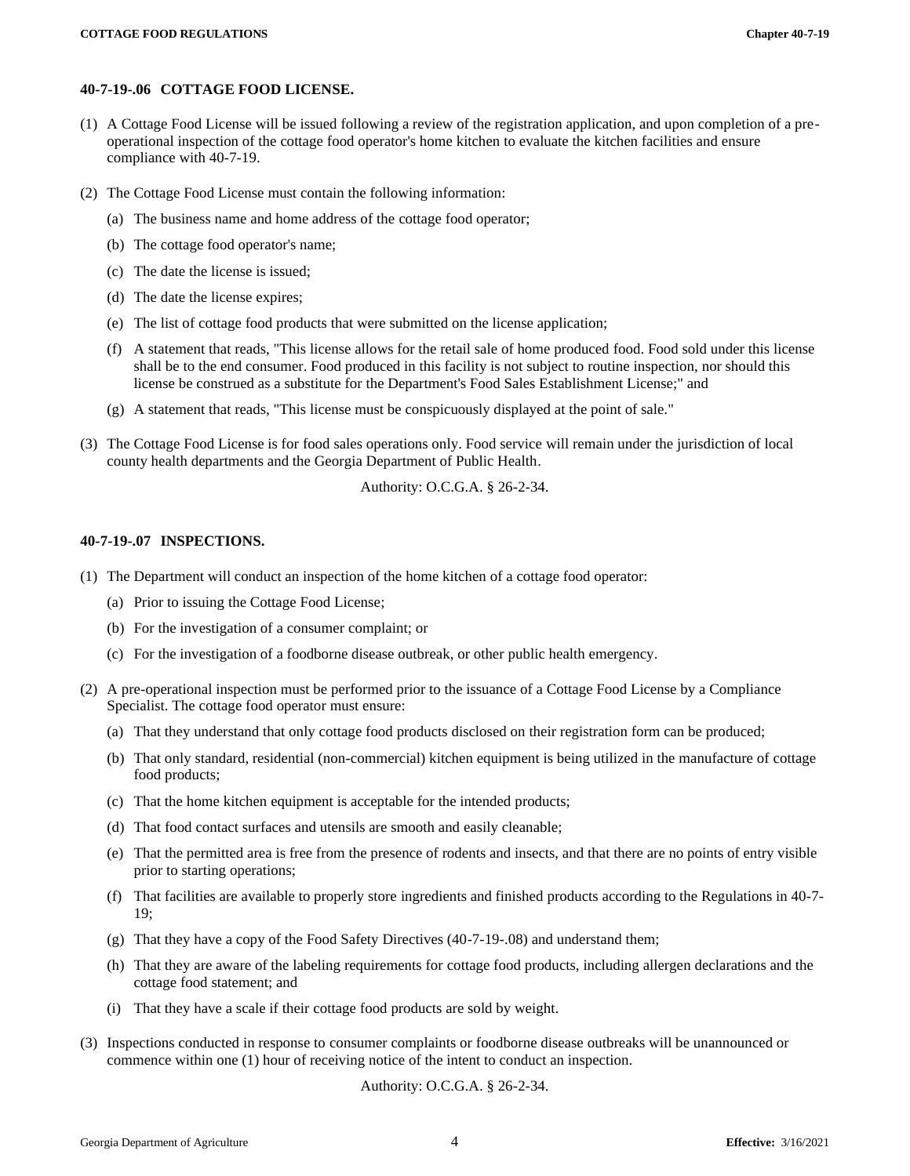#### <span id="page-4-0"></span>**40-7-19-.06 COTTAGE FOOD LICENSE.**

- (1) A Cottage Food License will be issued following a review of the registration application, and upon completion of a preoperational inspection of the cottage food operator's home kitchen to evaluate the kitchen facilities and ensure compliance with 40-7-19.
- (2) The Cottage Food License must contain the following information:
	- (a) The business name and home address of the cottage food operator;
	- (b) The cottage food operator's name;
	- (c) The date the license is issued;
	- (d) The date the license expires;
	- (e) The list of cottage food products that were submitted on the license application;
	- (f) A statement that reads, "This license allows for the retail sale of home produced food. Food sold under this license shall be to the end consumer. Food produced in this facility is not subject to routine inspection, nor should this license be construed as a substitute for the Department's Food Sales Establishment License;" and
	- (g) A statement that reads, "This license must be conspicuously displayed at the point of sale."
- (3) The Cottage Food License is for food sales operations only. Food service will remain under the jurisdiction of local county health departments and the Georgia Department of Public Health.

Authority: O.C.G.A. § 26-2-34.

#### <span id="page-4-1"></span>**40-7-19-.07 INSPECTIONS.**

- (1) The Department will conduct an inspection of the home kitchen of a cottage food operator:
	- (a) Prior to issuing the Cottage Food License;
	- (b) For the investigation of a consumer complaint; or
	- (c) For the investigation of a foodborne disease outbreak, or other public health emergency.
- (2) A pre-operational inspection must be performed prior to the issuance of a Cottage Food License by a Compliance Specialist. The cottage food operator must ensure:
	- (a) That they understand that only cottage food products disclosed on their registration form can be produced;
	- (b) That only standard, residential (non-commercial) kitchen equipment is being utilized in the manufacture of cottage food products;
	- (c) That the home kitchen equipment is acceptable for the intended products;
	- (d) That food contact surfaces and utensils are smooth and easily cleanable;
	- (e) That the permitted area is free from the presence of rodents and insects, and that there are no points of entry visible prior to starting operations;
	- (f) That facilities are available to properly store ingredients and finished products according to the Regulations in 40-7- 19;
	- (g) That they have a copy of the Food Safety Directives (40-7-19-.08) and understand them;
	- (h) That they are aware of the labeling requirements for cottage food products, including allergen declarations and the cottage food statement; and
	- (i) That they have a scale if their cottage food products are sold by weight.
- (3) Inspections conducted in response to consumer complaints or foodborne disease outbreaks will be unannounced or commence within one (1) hour of receiving notice of the intent to conduct an inspection.

Authority: O.C.G.A. § 26-2-34.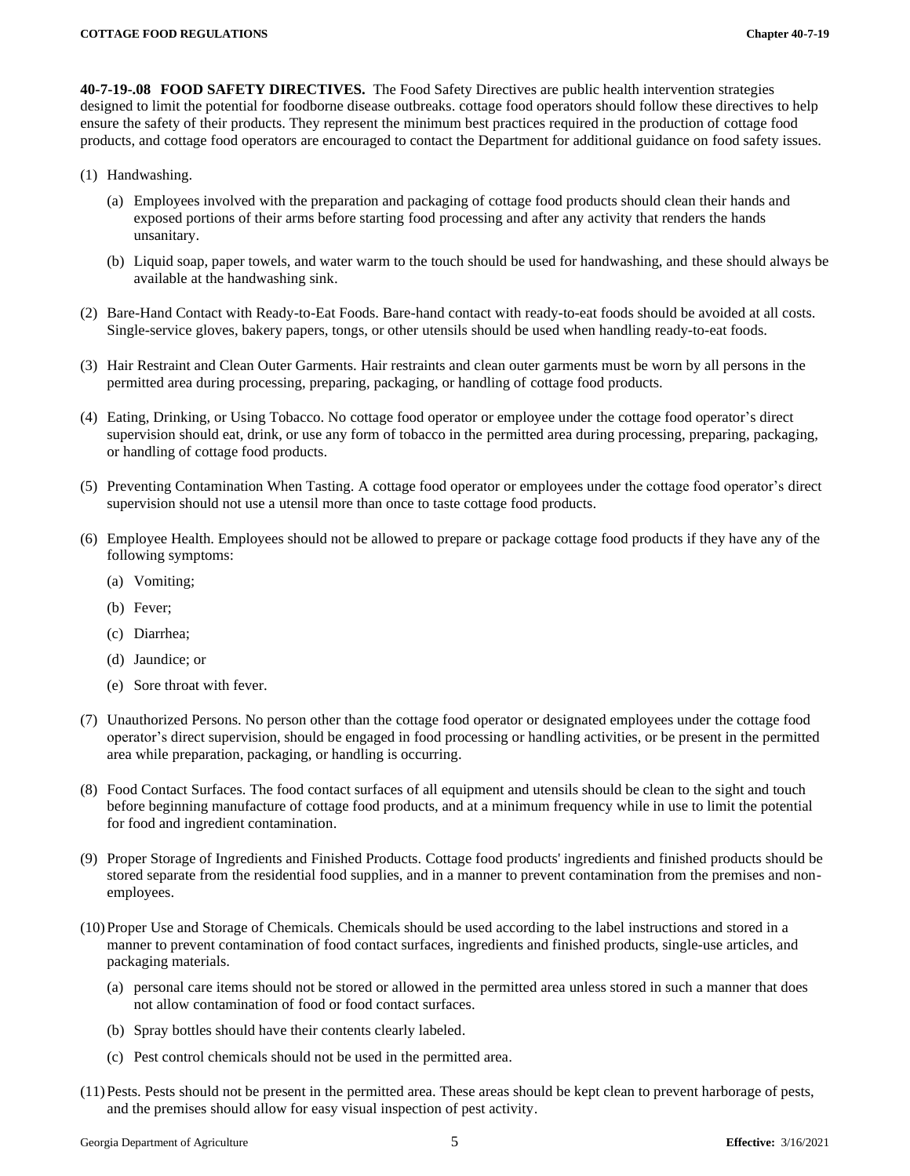<span id="page-5-0"></span>**40-7-19-.08 FOOD SAFETY DIRECTIVES.** The Food Safety Directives are public health intervention strategies designed to limit the potential for foodborne disease outbreaks. cottage food operators should follow these directives to help ensure the safety of their products. They represent the minimum best practices required in the production of cottage food products, and cottage food operators are encouraged to contact the Department for additional guidance on food safety issues.

- (1) Handwashing.
	- (a) Employees involved with the preparation and packaging of cottage food products should clean their hands and exposed portions of their arms before starting food processing and after any activity that renders the hands unsanitary.
	- (b) Liquid soap, paper towels, and water warm to the touch should be used for handwashing, and these should always be available at the handwashing sink.
- (2) Bare-Hand Contact with Ready-to-Eat Foods. Bare-hand contact with ready-to-eat foods should be avoided at all costs. Single-service gloves, bakery papers, tongs, or other utensils should be used when handling ready-to-eat foods.
- (3) Hair Restraint and Clean Outer Garments. Hair restraints and clean outer garments must be worn by all persons in the permitted area during processing, preparing, packaging, or handling of cottage food products.
- (4) Eating, Drinking, or Using Tobacco. No cottage food operator or employee under the cottage food operator's direct supervision should eat, drink, or use any form of tobacco in the permitted area during processing, preparing, packaging, or handling of cottage food products.
- (5) Preventing Contamination When Tasting. A cottage food operator or employees under the cottage food operator's direct supervision should not use a utensil more than once to taste cottage food products.
- (6) Employee Health. Employees should not be allowed to prepare or package cottage food products if they have any of the following symptoms:
	- (a) Vomiting;
	- (b) Fever;
	- (c) Diarrhea;
	- (d) Jaundice; or
	- (e) Sore throat with fever.
- (7) Unauthorized Persons. No person other than the cottage food operator or designated employees under the cottage food operator's direct supervision, should be engaged in food processing or handling activities, or be present in the permitted area while preparation, packaging, or handling is occurring.
- (8) Food Contact Surfaces. The food contact surfaces of all equipment and utensils should be clean to the sight and touch before beginning manufacture of cottage food products, and at a minimum frequency while in use to limit the potential for food and ingredient contamination.
- (9) Proper Storage of Ingredients and Finished Products. Cottage food products' ingredients and finished products should be stored separate from the residential food supplies, and in a manner to prevent contamination from the premises and nonemployees.
- (10)Proper Use and Storage of Chemicals. Chemicals should be used according to the label instructions and stored in a manner to prevent contamination of food contact surfaces, ingredients and finished products, single-use articles, and packaging materials.
	- (a) personal care items should not be stored or allowed in the permitted area unless stored in such a manner that does not allow contamination of food or food contact surfaces.
	- (b) Spray bottles should have their contents clearly labeled.
	- (c) Pest control chemicals should not be used in the permitted area.
- (11)Pests. Pests should not be present in the permitted area. These areas should be kept clean to prevent harborage of pests, and the premises should allow for easy visual inspection of pest activity.